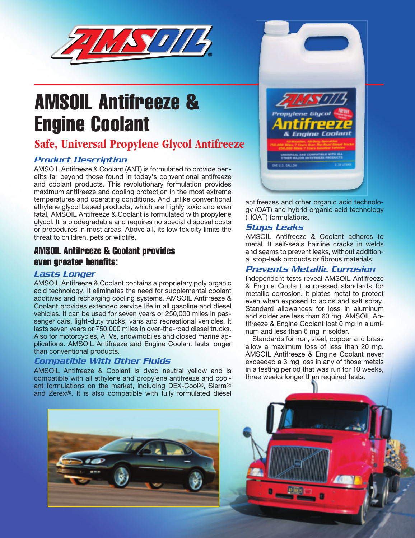

# AMSOIL Antifreeze & Engine Coolant

# **Safe, Universal Propylene Glycol Antifreeze**

### *Product Description*

AMSOIL Antifreeze & Coolant (ANT) is formulated to provide benefits far beyond those found in today's conventional antifreeze and coolant products. This revolutionary formulation provides maximum antifreeze and cooling protection in the most extreme temperatures and operating conditions. And unlike conventional ethylene glycol based products, which are highly toxic and even fatal, AMSOIL Antifreeze & Coolant is formulated with propylene glycol. It is biodegradable and requires no special disposal costs or procedures in most areas. Above all, its low toxicity limits the threat to children, pets or wildlife.

## AMSOIL Antifreeze & Coolant provides even greater benefits:

#### *Lasts Longer*

AMSOIL Antifreeze & Coolant contains a proprietary poly organic acid technology. It eliminates the need for supplemental coolant additives and recharging cooling systems. AMSOIL Antifreeze & Coolant provides extended service life in all gasoline and diesel vehicles. It can be used for seven years or 250,000 miles in passenger cars, light-duty trucks, vans and recreational vehicles. It lasts seven years or 750,000 miles in over-the-road diesel trucks. Also for motorcycles, ATVs, snowmobiles and closed marine applications. AMSOIL Antifreeze and Engine Coolant lasts longer than conventional products.

#### *Compatible With Other Fluids*

AMSOIL Antifreeze & Coolant is dyed neutral yellow and is compatible with all ethylene and propylene antifreeze and coolant formulations on the market, including DEX-Cool®, Sierra® and Zerex®. It is also compatible with fully formulated diesel





antifreezes and other organic acid technology (OAT) and hybrid organic acid technology (HOAT) formulations.

#### *Stops Leaks*

AMSOIL Antifreeze & Coolant adheres to metal. It self-seals hairline cracks in welds and seams to prevent leaks, without additional stop-leak products or fibrous materials.

#### *Prevents Metallic Corrosion*

Independent tests reveal AMSOIL Antifreeze & Engine Coolant surpassed standards for metallic corrosion. It plates metal to protect even when exposed to acids and salt spray. Standard allowances for loss in aluminum and solder are less than 60 mg. AMSOIL Antifreeze & Engine Coolant lost 0 mg in aluminum and less than 6 mg in solder.

Standards for iron, steel, copper and brass allow a maximum loss of less than 20 mg. AMSOIL Antifreeze & Engine Coolant never exceeded a 3 mg loss in any of those metals in a testing period that was run for 10 weeks, three weeks longer than required tests.